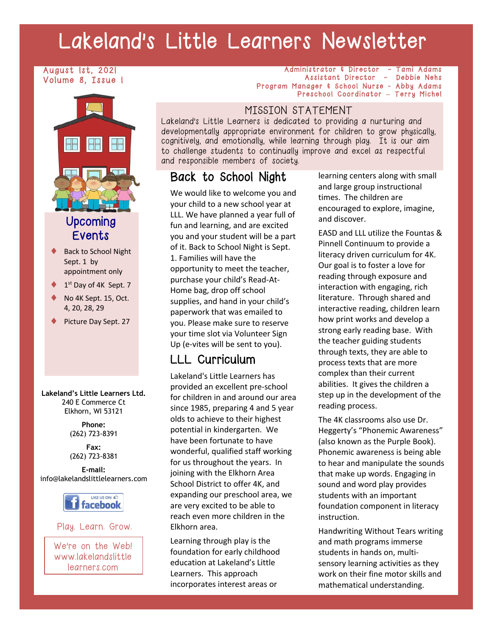# Lakeland's Little Learners Newsletter

August 1st, 2021 Volume 8, Issue 1



### Upcoming **Events**

- Back to School Night Sept. 1 by appointment only
- 1<sup>st</sup> Day of 4K Sept. 7
- No 4K Sept. 15, Oct. 4, 20, 28, 29
- Picture Day Sept. 27

**Lakeland's Little Learners Ltd.** 240 E Commerce Ct Elkhorn, WI 53121

#### **Phone:** (262) 723-8391

**Fax:** (262) 723-8381

**E-mail:** info@lakelandslittlelearners.com



#### Play. Learn. Grow.

We're on the Web! www.lakelandslittle learners.com

Administrator & Director - Tami Adams Assistant Director - Debbie Nehs Program Manager & School Nurse **–** Abby Adams Preschool Coordinator **–** Terry Michel

#### MISSION STATEMENT

Lakeland's Little Learners is dedicated to providing a nurturing and developmentally appropriate environment for children to grow physically, cognitively, and emotionally, while learning through play. It is our aim to challenge students to continually improve and excel as respectful and responsible members of society.

# Back to School Night

We would like to welcome you and your child to a new school year at LLL. We have planned a year full of fun and learning, and are excited you and your student will be a part of it. Back to School Night is Sept. 1. Families will have the opportunity to meet the teacher, purchase your child's Read-At-Home bag, drop off school supplies, and hand in your child's paperwork that was emailed to you. Please make sure to reserve your time slot via Volunteer Sign Up (e-vites will be sent to you).

# LLL Curriculum

Lakeland's Little Learners has provided an excellent pre-school for children in and around our area since 1985, preparing 4 and 5 year olds to achieve to their highest potential in kindergarten. We have been fortunate to have wonderful, qualified staff working for us throughout the years. In joining with the Elkhorn Area School District to offer 4K, and expanding our preschool area, we are very excited to be able to reach even more children in the Elkhorn area.

Learning through play is the foundation for early childhood education at Lakeland's Little Learners. This approach incorporates interest areas or

learning centers along with small and large group instructional times. The children are encouraged to explore, imagine, and discover.

EASD and LLL utilize the Fountas & Pinnell Continuum to provide a literacy driven curriculum for 4K. Our goal is to foster a love for reading through exposure and interaction with engaging, rich literature. Through shared and interactive reading, children learn how print works and develop a strong early reading base. With the teacher guiding students through texts, they are able to process texts that are more complex than their current abilities. It gives the children a step up in the development of the reading process.

The 4K classrooms also use Dr. Heggerty's "Phonemic Awareness" (also known as the Purple Book). Phonemic awareness is being able to hear and manipulate the sounds that make up words. Engaging in sound and word play provides students with an important foundation component in literacy instruction.

Handwriting Without Tears writing and math programs immerse students in hands on, multisensory learning activities as they work on their fine motor skills and mathematical understanding.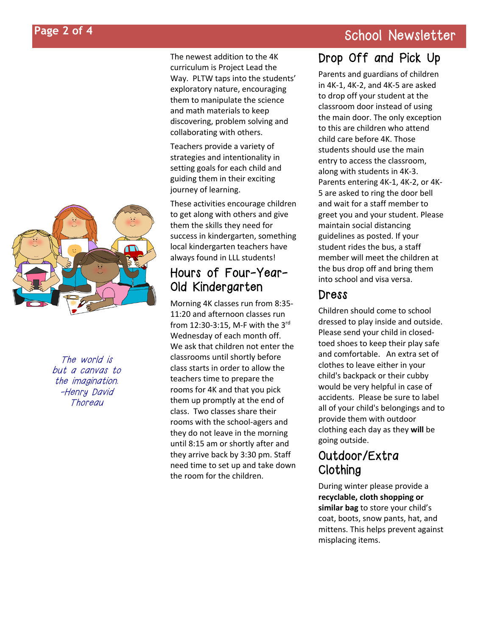

The newest addition to the 4K curriculum is Project Lead the Way. PLTW taps into the students' exploratory nature, encouraging them to manipulate the science and math materials to keep discovering, problem solving and collaborating with others.

Teachers provide a variety of strategies and intentionality in setting goals for each child and guiding them in their exciting journey of learning.

These activities encourage children to get along with others and give them the skills they need for success in kindergarten, something local kindergarten teachers have always found in LLL students!

### Hours of Four-Year-Old Kindergarten

Morning 4K classes run from 8:35- 11:20 and afternoon classes run from 12:30-3:15, M-F with the 3rd Wednesday of each month off. We ask that children not enter the classrooms until shortly before class starts in order to allow the teachers time to prepare the rooms for 4K and that you pick them up promptly at the end of class. Two classes share their rooms with the school-agers and they do not leave in the morning until 8:15 am or shortly after and they arrive back by 3:30 pm. Staff need time to set up and take down the room for the children.

# Drop Off and Pick Up

Parents and guardians of children in 4K-1, 4K-2, and 4K-5 are asked to drop off your student at the classroom door instead of using the main door. The only exception to this are children who attend child care before 4K. Those students should use the main entry to access the classroom, along with students in 4K-3. Parents entering 4K-1, 4K-2, or 4K-5 are asked to ring the door bell and wait for a staff member to greet you and your student. Please maintain social distancing guidelines as posted. If your student rides the bus, a staff member will meet the children at the bus drop off and bring them into school and visa versa.

#### Dress

Children should come to school dressed to play inside and outside. Please send your child in closedtoed shoes to keep their play safe and comfortable. An extra set of clothes to leave either in your child's backpack or their cubby would be very helpful in case of accidents. Please be sure to label all of your child's belongings and to provide them with outdoor clothing each day as they **will** be going outside.

#### Outdoor/Extra Clothing

During winter please provide a **recyclable, cloth shopping or similar bag** to store your child's coat, boots, snow pants, hat, and mittens. This helps prevent against misplacing items.



The world is but a canvas to the imagination. -Henry David Thoreau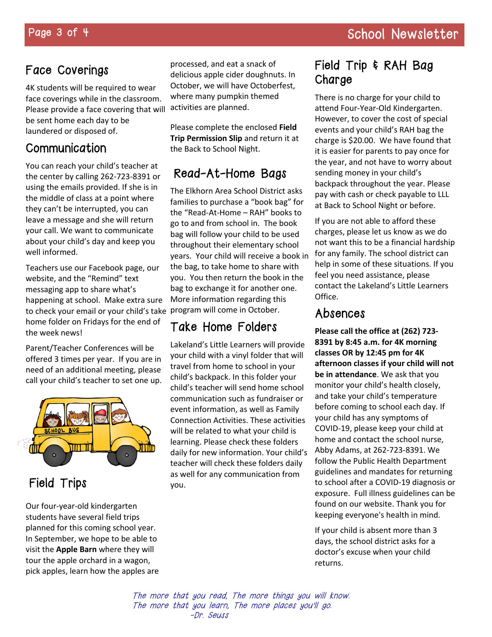# Face Coverings

4K students will be required to wear face coverings while in the classroom. Please provide a face covering that will activities are planned. be sent home each day to be laundered or disposed of.

### **Communication**

You can reach your child's teacher at the center by calling 262-723-8391 or using the emails provided. If she is in the middle of class at a point where they can't be interrupted, you can leave a message and she will return your call. We want to communicate about your child's day and keep you well informed.

Teachers use our Facebook page, our website, and the "Remind" text messaging app to share what's happening at school. Make extra sure to check your email or your child's take program will come in October. home folder on Fridays for the end of the week news!

Parent/Teacher Conferences will be offered 3 times per year. If you are in need of an additional meeting, please call your child's teacher to set one up.



# Field Trips

Our four-year-old kindergarten students have several field trips planned for this coming school year. In September, we hope to be able to visit the **Apple Barn** where they will tour the apple orchard in a wagon, pick apples, learn how the apples are

processed, and eat a snack of delicious apple cider doughnuts. In October, we will have Octoberfest, where many pumpkin themed

Please complete the enclosed **Field Trip Permission Slip** and return it at the Back to School Night.

# Read-At-Home Bags

The Elkhorn Area School District asks families to purchase a "book bag" for the "Read-At-Home – RAH" books to go to and from school in. The book bag will follow your child to be used throughout their elementary school years. Your child will receive a book in the bag, to take home to share with you. You then return the book in the bag to exchange it for another one. More information regarding this

# Take Home Folders

Lakeland's Little Learners will provide your child with a vinyl folder that will travel from home to school in your child's backpack. In this folder your child's teacher will send home school communication such as fundraiser or event information, as well as Family Connection Activities. These activities will be related to what your child is learning. Please check these folders daily for new information. Your child's teacher will check these folders daily as well for any communication from you.

### Field Trip & RAH Bag **Charge**

There is no charge for your child to attend Four-Year-Old Kindergarten. However, to cover the cost of special events and your child's RAH bag the charge is \$20.00. We have found that it is easier for parents to pay once for the year, and not have to worry about sending money in your child's backpack throughout the year. Please pay with cash or check payable to LLL at Back to School Night or before.

If you are not able to afford these charges, please let us know as we do not want this to be a financial hardship for any family. The school district can help in some of these situations. If you feel you need assistance, please contact the Lakeland's Little Learners Office.

#### Absences

**Please call the office at (262) 723- 8391 by 8:45 a.m. for 4K morning classes OR by 12:45 pm for 4K afternoon classes if your child will not be in attendance**. We ask that you monitor your child's health closely, and take your child's temperature before coming to school each day. If your child has any symptoms of COVID-19, please keep your child at home and contact the school nurse, Abby Adams, at 262-723-8391. We follow the Public Health Department guidelines and mandates for returning to school after a COVID-19 diagnosis or exposure. Full illness guidelines can be found on our website. Thank you for keeping everyone's health in mind.

If your child is absent more than 3 days, the school district asks for a doctor's excuse when your child returns.

The more that you read, The more things you will know. The more that you learn, The more places you'll go. -Dr. Seuss